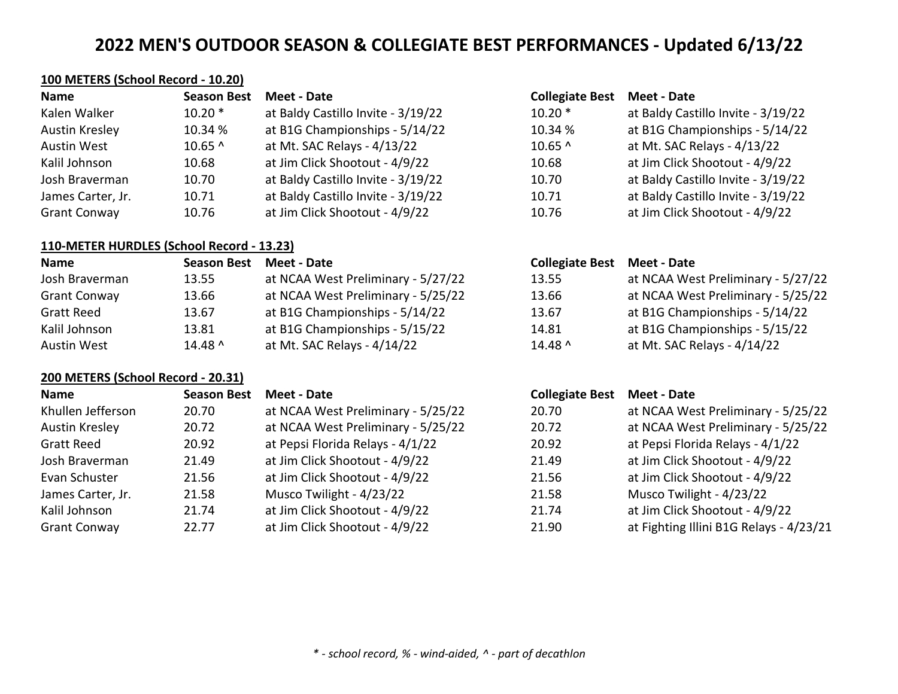#### **100 METERS (School Record - 10.20)**

| Name                  | <b>Season Best</b> | Meet - Date                        | <b>Collegiate Best</b> | <b>Meet - Date</b>                 |
|-----------------------|--------------------|------------------------------------|------------------------|------------------------------------|
| Kalen Walker          | $10.20*$           | at Baldy Castillo Invite - 3/19/22 | $10.20*$               | at Baldy Castillo Invite - 3/19/22 |
| <b>Austin Kresley</b> | 10.34 %            | at B1G Championships - 5/14/22     | 10.34 %                | at B1G Championships - 5/14/22     |
| Austin West           | $10.65$ ^          | at Mt. SAC Relays - 4/13/22        | $10.65^$               | at Mt. SAC Relays - 4/13/22        |
| Kalil Johnson         | 10.68              | at Jim Click Shootout - 4/9/22     | 10.68                  | at Jim Click Shootout - 4/9/22     |
| Josh Braverman        | 10.70              | at Baldy Castillo Invite - 3/19/22 | 10.70                  | at Baldy Castillo Invite - 3/19/22 |
| James Carter, Jr.     | 10.71              | at Baldy Castillo Invite - 3/19/22 | 10.71                  | at Baldy Castillo Invite - 3/19/22 |
| <b>Grant Conway</b>   | 10.76              | at Jim Click Shootout - 4/9/22     | 10.76                  | at Jim Click Shootout - 4/9/22     |

#### **110-METER HURDLES (School Record - 13.23)**

| <b>Name</b>         | <b>Season Best</b> | Meet - Date                        |  |
|---------------------|--------------------|------------------------------------|--|
| Josh Braverman      | 13.55              | at NCAA West Preliminary - 5/27/22 |  |
| <b>Grant Conway</b> | 13.66              | at NCAA West Preliminary - 5/25/22 |  |
| <b>Gratt Reed</b>   | 13.67              | at B1G Championships - 5/14/22     |  |
| Kalil Johnson       | 13.81              | at B1G Championships - 5/15/22     |  |
| Austin West         | $14.48$ ^          | at Mt. SAC Relays - 4/14/22        |  |

### **200 METERS (School Record - 20.31)**

| <b>Name</b>         | <b>Season Best</b> | Meet - Date                        | <b>Collegiate Best</b> | Meet - Date                            |
|---------------------|--------------------|------------------------------------|------------------------|----------------------------------------|
| Khullen Jefferson   | 20.70              | at NCAA West Preliminary - 5/25/22 | 20.70                  | at NCAA West Preliminary - 5/25/22     |
| Austin Kresley      | 20.72              | at NCAA West Preliminary - 5/25/22 | 20.72                  | at NCAA West Preliminary - 5/25/22     |
| <b>Gratt Reed</b>   | 20.92              | at Pepsi Florida Relays - 4/1/22   | 20.92                  | at Pepsi Florida Relays - 4/1/22       |
| Josh Braverman      | 21.49              | at Jim Click Shootout - 4/9/22     | 21.49                  | at Jim Click Shootout - 4/9/22         |
| Evan Schuster       | 21.56              | at Jim Click Shootout - 4/9/22     | 21.56                  | at Jim Click Shootout - 4/9/22         |
| James Carter, Jr.   | 21.58              | Musco Twilight - 4/23/22           | 21.58                  | Musco Twilight - 4/23/22               |
| Kalil Johnson       | 21.74              | at Jim Click Shootout - 4/9/22     | 21.74                  | at Jim Click Shootout - 4/9/22         |
| <b>Grant Conway</b> | 22.77              | at Jim Click Shootout - 4/9/22     | 21.90                  | at Fighting Illini B1G Relays - 4/23/2 |

| <b>Collegiate Best Meet - Date</b> |                                   |
|------------------------------------|-----------------------------------|
| $10.20*$                           | at Baldy Castillo Invite - 3/19/2 |
| 10.34 %                            | at B1G Championships - 5/14/2     |
| 10.65 ^                            | at Mt. SAC Relays - 4/13/22       |
| 10.68                              | at Jim Click Shootout - 4/9/22    |
| 10.70                              | at Baldy Castillo Invite - 3/19/2 |
| 10.71                              | at Baldy Castillo Invite - 3/19/2 |

|  | at Jim Click Shootout - 4/9/22 |  |
|--|--------------------------------|--|
|  |                                |  |

## **Name Season Best Meet - Date Collegiate Best Meet - Date** 13.55 at NCAA West Preliminary - 5/27/22 13.66 **at NCAA West Preliminary - 5/25/22** 13.67 at B1G Championships - 5/14/22 14.81 at B1G Championships - 5/15/22 14.48 ^ at Mt. SAC Relays - 4/14/22

### **Name Season Best Meet - Date Collegiate Best Meet - Date**

| .0.70 | at NCAA West Preliminary - 5/25/22      |
|-------|-----------------------------------------|
| 0.72  | at NCAA West Preliminary - 5/25/22      |
| 0.92  | at Pepsi Florida Relays - 4/1/22        |
| 1.49  | at Jim Click Shootout - 4/9/22          |
| 1.56  | at Jim Click Shootout - 4/9/22          |
| 2.58  | Musco Twilight - 4/23/22                |
| 1.74  | at Jim Click Shootout - 4/9/22          |
| 1.90  | at Fighting Illini B1G Relays - 4/23/21 |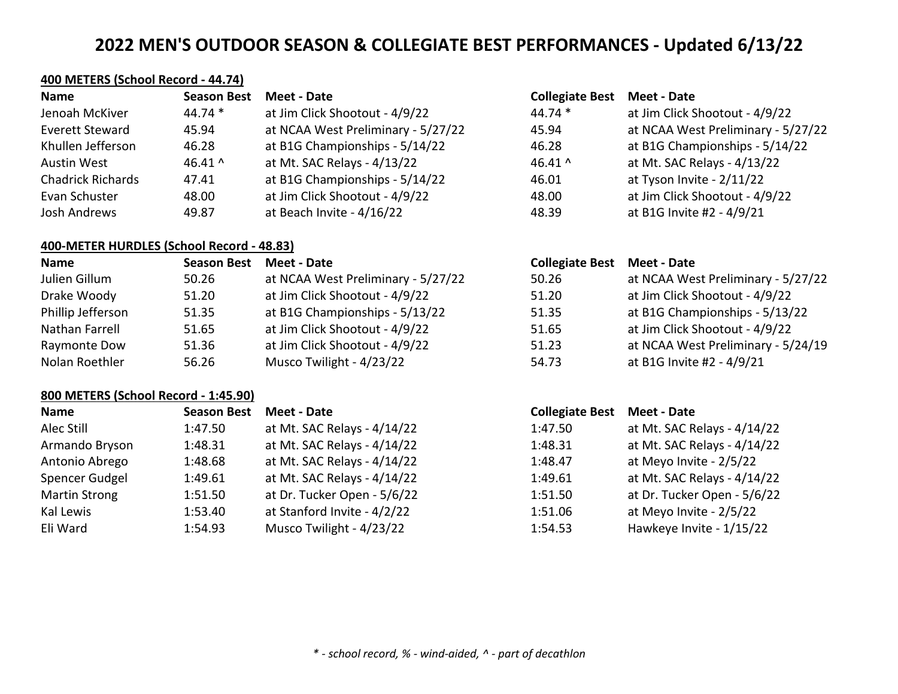# **400 METERS (School Record - 44.74)**

| <b>Name</b>              | <b>Season Best</b> | Meet - Date                        | <b>Collegiate Best</b> | <b>Meet - Date</b>                 |
|--------------------------|--------------------|------------------------------------|------------------------|------------------------------------|
| Jenoah McKiver           | $44.74*$           | at Jim Click Shootout - 4/9/22     | $44.74*$               | at Jim Click Shootout - 4/9/22     |
| Everett Steward          | 45.94              | at NCAA West Preliminary - 5/27/22 | 45.94                  | at NCAA West Preliminary - 5/27/22 |
| Khullen Jefferson        | 46.28              | at B1G Championships - 5/14/22     | 46.28                  | at B1G Championships - 5/14/22     |
| Austin West              | 46.41 $^{\circ}$   | at Mt. SAC Relays - 4/13/22        | 46.41 $^{\circ}$       | at Mt. SAC Relays - 4/13/22        |
| <b>Chadrick Richards</b> | 47.41              | at B1G Championships - 5/14/22     | 46.01                  | at Tyson Invite - 2/11/22          |
| Evan Schuster            | 48.00              | at Jim Click Shootout - 4/9/22     | 48.00                  | at Jim Click Shootout - 4/9/22     |
| Josh Andrews             | 49.87              | at Beach Invite - 4/16/22          | 48.39                  | at B1G Invite #2 - 4/9/21          |

#### **400-METER HURDLES (School Record - 48.83)**

| <b>Name</b>       | <b>Season Best</b> | Meet - Date                        | <b>Collegiate Best Meet - Date</b> |                                    |
|-------------------|--------------------|------------------------------------|------------------------------------|------------------------------------|
| Julien Gillum     | 50.26              | at NCAA West Preliminary - 5/27/22 | 50.26                              | at NCAA West Preliminary - 5/27/22 |
| Drake Woody       | 51.20              | at Jim Click Shootout - 4/9/22     | 51.20                              | at Jim Click Shootout - 4/9/22     |
| Phillip Jefferson | 51.35              | at B1G Championships - 5/13/22     | 51.35                              | at B1G Championships - 5/13/22     |
| Nathan Farrell    | 51.65              | at Jim Click Shootout - 4/9/22     | 51.65                              | at Jim Click Shootout - 4/9/22     |
| Raymonte Dow      | 51.36              | at Jim Click Shootout - 4/9/22     | 51.23                              | at NCAA West Preliminary - 5/24/19 |
| Nolan Roethler    | 56.26              | Musco Twilight - 4/23/22           | 54.73                              | at B1G Invite #2 - 4/9/21          |

### **800 METERS (School Record - 1:45.90)**

| <b>Name</b>          | <b>Season Best</b> | Meet - Date                 | <b>Collegiate Best</b> | Meet - Date                 |
|----------------------|--------------------|-----------------------------|------------------------|-----------------------------|
| Alec Still           | 1:47.50            | at Mt. SAC Relays - 4/14/22 | 1:47.50                | at Mt. SAC Relays - 4/14/22 |
| Armando Bryson       | 1:48.31            | at Mt. SAC Relays - 4/14/22 | 1:48.31                | at Mt. SAC Relays - 4/14/22 |
| Antonio Abrego       | 1:48.68            | at Mt. SAC Relays - 4/14/22 | 1:48.47                | at Meyo Invite - 2/5/22     |
| Spencer Gudgel       | 1:49.61            | at Mt. SAC Relays - 4/14/22 | 1:49.61                | at Mt. SAC Relays - 4/14/22 |
| <b>Martin Strong</b> | 1:51.50            | at Dr. Tucker Open - 5/6/22 | 1:51.50                | at Dr. Tucker Open - 5/6/22 |
| Kal Lewis            | 1:53.40            | at Stanford Invite - 4/2/22 | 1:51.06                | at Meyo Invite - 2/5/22     |
| Eli Ward             | 1:54.93            | Musco Twilight - 4/23/22    | 1:54.53                | Hawkeye Invite - 1/15/22    |

# **Name Season Best Meet - Date Collegiate Best Meet - Date**

| 1:47.50 | at Mt. SAC Relays - 4/14/22 |
|---------|-----------------------------|
| 1:48.31 | at Mt. SAC Relays - 4/14/22 |
| 1:48.47 | at Meyo Invite - 2/5/22     |
| 1:49.61 | at Mt. SAC Relays - 4/14/22 |
| 1:51.50 | at Dr. Tucker Open - 5/6/22 |
| 1:51.06 | at Meyo Invite - 2/5/22     |
| 1:54.53 | Hawkeye Invite - 1/15/22    |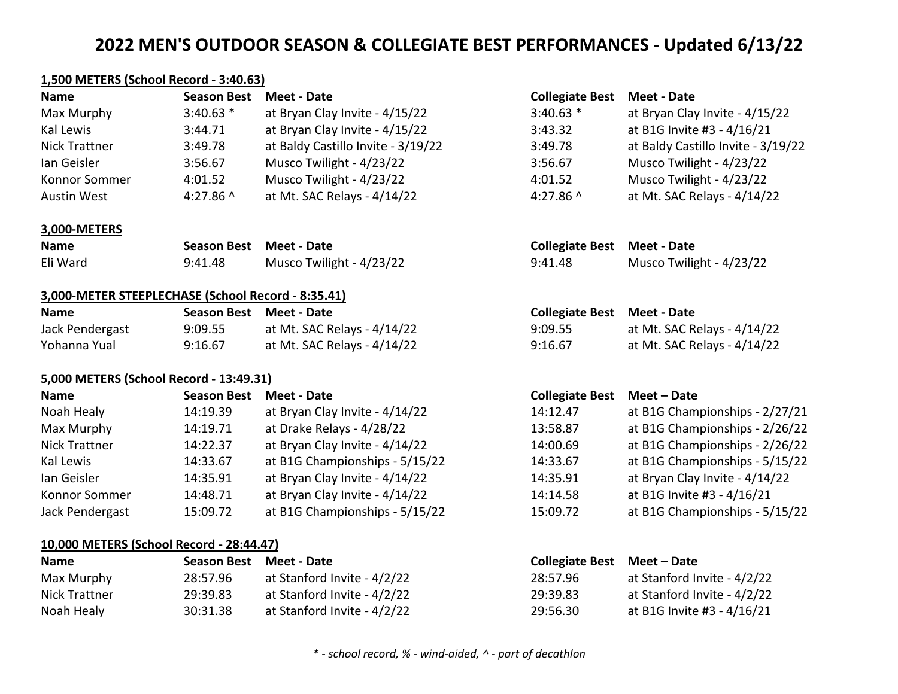#### **1,500 METERS (School Record - 3:40.63)**

| <b>Name</b>   | <b>Season Best</b> | Meet - Date                        | <b>Collegiate Best</b> | Meet - Date                        |
|---------------|--------------------|------------------------------------|------------------------|------------------------------------|
| Max Murphy    | $3:40.63*$         | at Bryan Clay Invite - 4/15/22     | $3:40.63$ *            | at Bryan Clay Invite - 4/15/22     |
| Kal Lewis     | 3:44.71            | at Bryan Clay Invite - 4/15/22     | 3:43.32                | at B1G Invite #3 - 4/16/21         |
| Nick Trattner | 3:49.78            | at Baldy Castillo Invite - 3/19/22 | 3:49.78                | at Baldy Castillo Invite - 3/19/22 |
| lan Geisler   | 3:56.67            | Musco Twilight - 4/23/22           | 3:56.67                | Musco Twilight - 4/23/22           |
| Konnor Sommer | 4:01.52            | Musco Twilight - 4/23/22           | 4:01.52                | Musco Twilight - 4/23/22           |
| Austin West   | 4:27.86 $^{\circ}$ | at Mt. SAC Relays - 4/14/22        | 4:27.86 $^{\circ}$     | at Mt. SAC Relays - 4/14/22        |

#### **3,000-METERS**

| <b>Name</b> | Season Best Meet - Date |                          | <b>Collegiate Best Meet - Date</b> |                          |
|-------------|-------------------------|--------------------------|------------------------------------|--------------------------|
| Eli Ward    | 9:41.48                 | Musco Twilight - 4/23/22 | 9:41.48                            | Musco Twilight - 4/23/22 |

#### **3,000-METER STEEPLECHASE (School Record - 8:35.41)**

| <b>Name</b>     | Season Best Meet - Date |                             | <b>Collegiate Best Meet - Date</b> |                             |
|-----------------|-------------------------|-----------------------------|------------------------------------|-----------------------------|
| Jack Pendergast | 9:09.55                 | at Mt. SAC Relays - 4/14/22 | 9:09.55                            | at Mt. SAC Relays - 4/14/22 |
| Yohanna Yual    | 9:16.67                 | at Mt. SAC Relays - 4/14/22 | 9:16.67                            | at Mt. SAC Relays - 4/14/22 |

#### **5,000 METERS (School Record - 13:49.31)**

| <b>Name</b>     | <b>Season Best</b> | Meet - Date                    | <b>Collegiate Best</b> | Meet – Date                    |
|-----------------|--------------------|--------------------------------|------------------------|--------------------------------|
| Noah Healy      | 14:19.39           | at Bryan Clay Invite - 4/14/22 | 14:12.47               | at B1G Championships - 2/27/21 |
| Max Murphy      | 14:19.71           | at Drake Relays - 4/28/22      | 13:58.87               | at B1G Championships - 2/26/22 |
| Nick Trattner   | 14:22.37           | at Bryan Clay Invite - 4/14/22 | 14:00.69               | at B1G Championships - 2/26/22 |
| Kal Lewis       | 14:33.67           | at B1G Championships - 5/15/22 | 14:33.67               | at B1G Championships - 5/15/22 |
| Ian Geisler     | 14:35.91           | at Bryan Clay Invite - 4/14/22 | 14:35.91               | at Bryan Clay Invite - 4/14/22 |
| Konnor Sommer   | 14:48.71           | at Bryan Clay Invite - 4/14/22 | 14:14.58               | at B1G Invite #3 - 4/16/21     |
| Jack Pendergast | 15:09.72           | at B1G Championships - 5/15/22 | 15:09.72               | at B1G Championships - 5/15/22 |

### **10,000 METERS (School Record - 28:44.47)**

| <b>Name</b>   | Season Best Meet - Date |                             | Collegiate Best Meet – Date |                             |
|---------------|-------------------------|-----------------------------|-----------------------------|-----------------------------|
| Max Murphy    | 28:57.96                | at Stanford Invite - 4/2/22 | 28:57.96                    | at Stanford Invite - 4/2/22 |
| Nick Trattner | 29:39.83                | at Stanford Invite - 4/2/22 | 29:39.83                    | at Stanford Invite - 4/2/22 |
| Noah Healy    | 30:31.38                | at Stanford Invite - 4/2/22 | 29:56.30                    | at B1G Invite #3 - 4/16/21  |

### **Name Season Best Meet - Date Collegiate Best Meet - Date**

| $3:40.63*$ | at Bryan Clay Invite - 4/15/22     |
|------------|------------------------------------|
| 3:43.32    | at B1G Invite #3 - 4/16/21         |
| 3:49.78    | at Baldy Castillo Invite - 3/19/22 |
| 3:56.67    | Musco Twilight - 4/23/22           |
| 4:01.52    | Musco Twilight - 4/23/22           |
| 4:27.86 ^  | at Mt. SAC Relays - 4/14/22        |

| <b>Collegiate Best Meet - Date</b> |                             |
|------------------------------------|-----------------------------|
| 9:09.55                            | at Mt. SAC Relays - 4/14/22 |
| 9:16.67                            | at Mt. SAC Relays - 4/14/22 |

#### **Name Season Best Meet - Date Collegiate Best Meet – Date**

| 14:12.47 | at B1G Championships - 2/27/21 |
|----------|--------------------------------|
| 13:58.87 | at B1G Championships - 2/26/22 |
| 14:00.69 | at B1G Championships - 2/26/22 |
| 14:33.67 | at B1G Championships - 5/15/22 |
| 14:35.91 | at Bryan Clay Invite - 4/14/22 |
| 14:14.58 | at B1G Invite #3 - 4/16/21     |
| 15:09.72 | at B1G Championships - 5/15/22 |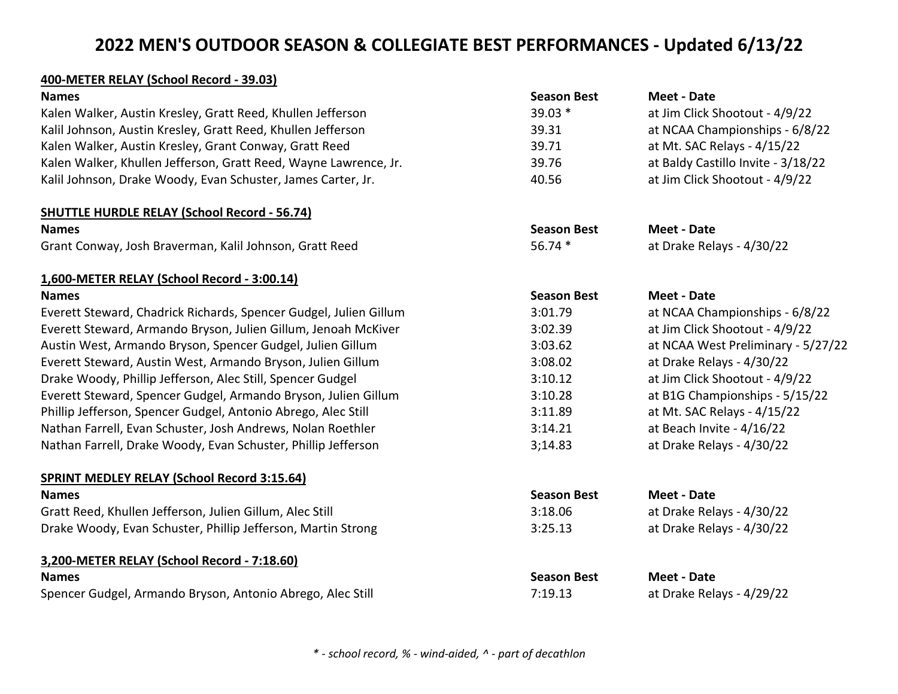## **400-METER RELAY (School Record - 39.03)**

| <b>Names</b>                                                      | <b>Season Best</b> | <b>Meet - Date</b>                 |
|-------------------------------------------------------------------|--------------------|------------------------------------|
| Kalen Walker, Austin Kresley, Gratt Reed, Khullen Jefferson       | 39.03 *            | at Jim Click Shootout - 4/9/22     |
| Kalil Johnson, Austin Kresley, Gratt Reed, Khullen Jefferson      | 39.31              | at NCAA Championships - 6/8/22     |
| Kalen Walker, Austin Kresley, Grant Conway, Gratt Reed            | 39.71              | at Mt. SAC Relays - 4/15/22        |
| Kalen Walker, Khullen Jefferson, Gratt Reed, Wayne Lawrence, Jr.  | 39.76              | at Baldy Castillo Invite - 3/18/22 |
| Kalil Johnson, Drake Woody, Evan Schuster, James Carter, Jr.      | 40.56              | at Jim Click Shootout - 4/9/22     |
| <b>SHUTTLE HURDLE RELAY (School Record - 56.74)</b>               |                    |                                    |
| <b>Names</b>                                                      | <b>Season Best</b> | <b>Meet - Date</b>                 |
| Grant Conway, Josh Braverman, Kalil Johnson, Gratt Reed           | 56.74 *            | at Drake Relays - 4/30/22          |
| 1,600-METER RELAY (School Record - 3:00.14)                       |                    |                                    |
| <b>Names</b>                                                      | <b>Season Best</b> | <b>Meet - Date</b>                 |
| Everett Steward, Chadrick Richards, Spencer Gudgel, Julien Gillum | 3:01.79            | at NCAA Championships - 6/8/22     |
| Everett Steward, Armando Bryson, Julien Gillum, Jenoah McKiver    | 3:02.39            | at Jim Click Shootout - 4/9/22     |
| Austin West, Armando Bryson, Spencer Gudgel, Julien Gillum        | 3:03.62            | at NCAA West Preliminary - 5/27/22 |
| Everett Steward, Austin West, Armando Bryson, Julien Gillum       | 3:08.02            | at Drake Relays - 4/30/22          |
| Drake Woody, Phillip Jefferson, Alec Still, Spencer Gudgel        | 3:10.12            | at Jim Click Shootout - 4/9/22     |
| Everett Steward, Spencer Gudgel, Armando Bryson, Julien Gillum    | 3:10.28            | at B1G Championships - 5/15/22     |
| Phillip Jefferson, Spencer Gudgel, Antonio Abrego, Alec Still     | 3:11.89            | at Mt. SAC Relays - 4/15/22        |
| Nathan Farrell, Evan Schuster, Josh Andrews, Nolan Roethler       | 3:14.21            | at Beach Invite - 4/16/22          |
| Nathan Farrell, Drake Woody, Evan Schuster, Phillip Jefferson     | 3;14.83            | at Drake Relays - 4/30/22          |
| <b>SPRINT MEDLEY RELAY (School Record 3:15.64)</b>                |                    |                                    |
| <b>Names</b>                                                      | <b>Season Best</b> | <b>Meet - Date</b>                 |
| Gratt Reed, Khullen Jefferson, Julien Gillum, Alec Still          | 3:18.06            | at Drake Relays - 4/30/22          |
| Drake Woody, Evan Schuster, Phillip Jefferson, Martin Strong      | 3:25.13            | at Drake Relays - 4/30/22          |
| 3,200-METER RELAY (School Record - 7:18.60)                       |                    |                                    |
| <b>Names</b>                                                      | <b>Season Best</b> | <b>Meet - Date</b>                 |
| Spencer Gudgel, Armando Bryson, Antonio Abrego, Alec Still        | 7:19.13            | at Drake Relays - 4/29/22          |
|                                                                   |                    |                                    |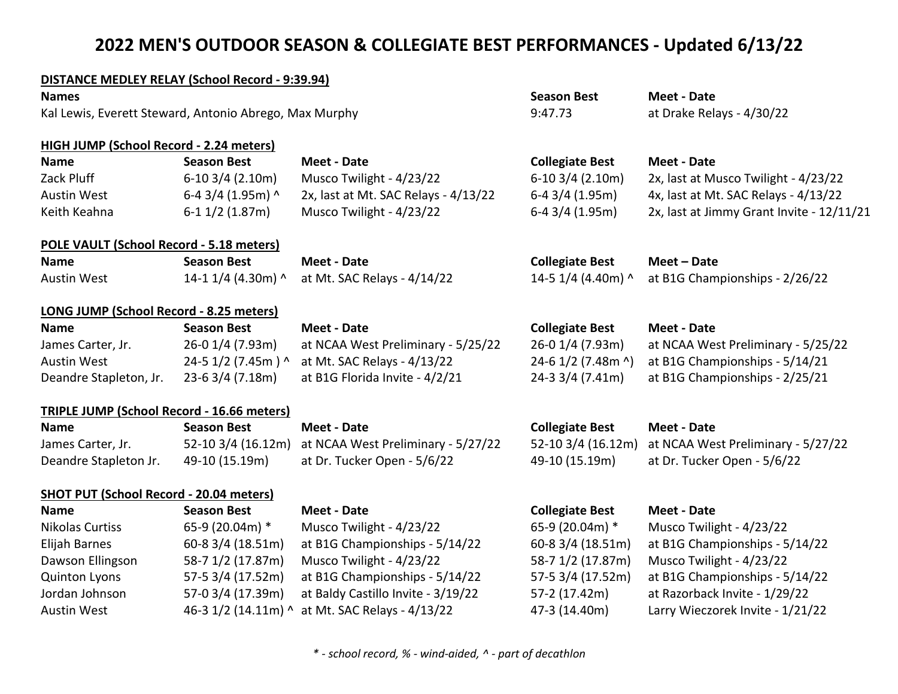### **DISTANCE MEDLEY RELAY (School Record - 9:39.94)**

| <b>Names</b>                                           |                     |                                      | <b>Season Best</b>     | <b>Meet - Date</b>                        |
|--------------------------------------------------------|---------------------|--------------------------------------|------------------------|-------------------------------------------|
| Kal Lewis, Everett Steward, Antonio Abrego, Max Murphy |                     |                                      | 9:47.73                | at Drake Relays - 4/30/22                 |
| HIGH JUMP (School Record - 2.24 meters)                |                     |                                      |                        |                                           |
| <b>Name</b>                                            | <b>Season Best</b>  | <b>Meet - Date</b>                   | <b>Collegiate Best</b> | <b>Meet - Date</b>                        |
| Zack Pluff                                             | $6-10$ 3/4 (2.10m)  | Musco Twilight - 4/23/22             | $6-10$ 3/4 (2.10m)     | 2x, last at Musco Twilight - 4/23/22      |
| <b>Austin West</b>                                     | 6-4 3/4 (1.95m) ^   | 2x, last at Mt. SAC Relays - 4/13/22 | $6-4$ 3/4 (1.95m)      | 4x, last at Mt. SAC Relays - 4/13/22      |
| Keith Keahna                                           | $6-1$ 1/2 (1.87m)   | Musco Twilight - 4/23/22             | 6-4 3/4 (1.95m)        | 2x, last at Jimmy Grant Invite - 12/11/21 |
| POLE VAULT (School Record - 5.18 meters)               |                     |                                      |                        |                                           |
| <b>Name</b>                                            | <b>Season Best</b>  | Meet - Date                          | <b>Collegiate Best</b> | Meet - Date                               |
| <b>Austin West</b>                                     | 14-1 1/4 (4.30m) ^  | at Mt. SAC Relays - 4/14/22          | 14-5 1/4 (4.40m) ^     | at B1G Championships - 2/26/22            |
| LONG JUMP (School Record - 8.25 meters)                |                     |                                      |                        |                                           |
| <b>Name</b>                                            | <b>Season Best</b>  | <b>Meet - Date</b>                   | <b>Collegiate Best</b> | <b>Meet - Date</b>                        |
| James Carter, Jr.                                      | 26-0 1/4 (7.93m)    | at NCAA West Preliminary - 5/25/22   | 26-0 1/4 (7.93m)       | at NCAA West Preliminary - 5/25/22        |
| <b>Austin West</b>                                     | 24-5 1/2 (7.45m) ^  | at Mt. SAC Relays - 4/13/22          | 24-6 1/2 (7.48m ^)     | at B1G Championships - 5/14/21            |
| Deandre Stapleton, Jr.                                 | 23-63/4 (7.18m)     | at B1G Florida Invite - 4/2/21       | 24-3 3/4 (7.41m)       | at B1G Championships - 2/25/21            |
| <b>TRIPLE JUMP (School Record - 16.66 meters)</b>      |                     |                                      |                        |                                           |
| <b>Name</b>                                            | <b>Season Best</b>  | <b>Meet - Date</b>                   | <b>Collegiate Best</b> | <b>Meet - Date</b>                        |
| James Carter, Jr.                                      | 52-10 3/4 (16.12m)  | at NCAA West Preliminary - 5/27/22   | 52-10 3/4 (16.12m)     | at NCAA West Preliminary - 5/27/22        |
| Deandre Stapleton Jr.                                  | 49-10 (15.19m)      | at Dr. Tucker Open - 5/6/22          | 49-10 (15.19m)         | at Dr. Tucker Open - 5/6/22               |
| <b>SHOT PUT (School Record - 20.04 meters)</b>         |                     |                                      |                        |                                           |
| <b>Name</b>                                            | <b>Season Best</b>  | <b>Meet - Date</b>                   | <b>Collegiate Best</b> | <b>Meet - Date</b>                        |
| <b>Nikolas Curtiss</b>                                 | 65-9 (20.04m) *     | Musco Twilight - 4/23/22             | 65-9 (20.04m) *        | Musco Twilight - 4/23/22                  |
| Elijah Barnes                                          | 60-8 3/4 (18.51m)   | at B1G Championships - 5/14/22       | 60-8 3/4 (18.51m)      | at B1G Championships - 5/14/22            |
| Dawson Ellingson                                       | 58-7 1/2 (17.87m)   | Musco Twilight - 4/23/22             | 58-7 1/2 (17.87m)      | Musco Twilight - 4/23/22                  |
| <b>Quinton Lyons</b>                                   | 57-5 3/4 (17.52m)   | at B1G Championships - 5/14/22       | 57-5 3/4 (17.52m)      | at B1G Championships - 5/14/22            |
| Jordan Johnson                                         | 57-0 3/4 (17.39m)   | at Baldy Castillo Invite - 3/19/22   | 57-2 (17.42m)          | at Razorback Invite - 1/29/22             |
| <b>Austin West</b>                                     | 46-3 1/2 (14.11m) ^ | at Mt. SAC Relays - 4/13/22          | 47-3 (14.40m)          | Larry Wieczorek Invite - 1/21/22          |
|                                                        |                     |                                      |                        |                                           |